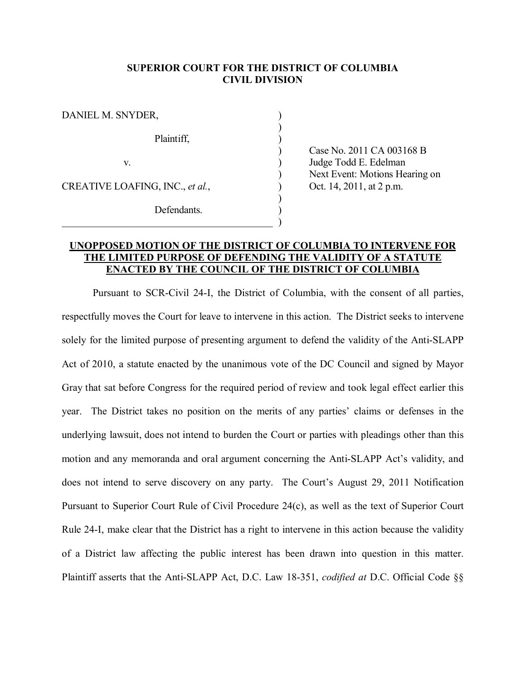#### **SUPERIOR COURT FOR THE DISTRICT OF COLUMBIA CIVIL DIVISION**

| DANIEL M. SNYDER,               |  |
|---------------------------------|--|
| Plaintiff,                      |  |
| V.                              |  |
| CREATIVE LOAFING, INC., et al., |  |
| Defendants.                     |  |
|                                 |  |

) Case No. 2011 CA 003168 B Judge Todd E. Edelman ) Next Event: Motions Hearing on Oct. 14, 2011, at 2 p.m.

## **UNOPPOSED MOTION OF THE DISTRICT OF COLUMBIA TO INTERVENE FOR THE LIMITED PURPOSE OF DEFENDING THE VALIDITY OF A STATUTE ENACTED BY THE COUNCIL OF THE DISTRICT OF COLUMBIA**

Pursuant to SCR-Civil 24-I, the District of Columbia, with the consent of all parties, respectfully moves the Court for leave to intervene in this action. The District seeks to intervene solely for the limited purpose of presenting argument to defend the validity of the Anti-SLAPP Act of 2010, a statute enacted by the unanimous vote of the DC Council and signed by Mayor Gray that sat before Congress for the required period of review and took legal effect earlier this year. The District takes no position on the merits of any parties' claims or defenses in the underlying lawsuit, does not intend to burden the Court or parties with pleadings other than this motion and any memoranda and oral argument concerning the Anti-SLAPP Act's validity, and does not intend to serve discovery on any party. The Court's August 29, 2011 Notification Pursuant to Superior Court Rule of Civil Procedure 24(c), as well as the text of Superior Court Rule 24-I, make clear that the District has a right to intervene in this action because the validity of a District law affecting the public interest has been drawn into question in this matter. Plaintiff asserts that the Anti-SLAPP Act, D.C. Law 18-351, *codified at* D.C. Official Code §§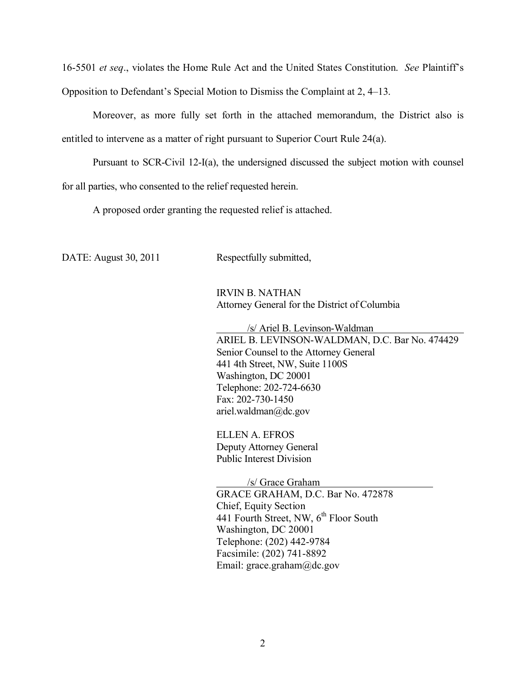16-5501 *et seq*., violates the Home Rule Act and the United States Constitution. *See* Plaintiff's Opposition to Defendant's Special Motion to Dismiss the Complaint at 2, 4–13.

Moreover, as more fully set forth in the attached memorandum, the District also is entitled to intervene as a matter of right pursuant to Superior Court Rule 24(a).

Pursuant to SCR-Civil 12-I(a), the undersigned discussed the subject motion with counsel for all parties, who consented to the relief requested herein.

A proposed order granting the requested relief is attached.

DATE: August 30, 2011 Respectfully submitted,

IRVIN B. NATHAN Attorney General for the District of Columbia

/s/ Ariel B. Levinson-Waldman ARIEL B. LEVINSON-WALDMAN, D.C. Bar No. 474429 Senior Counsel to the Attorney General 441 4th Street, NW, Suite 1100S Washington, DC 20001 Telephone: 202-724-6630 Fax: 202-730-1450 ariel.waldman@dc.gov

ELLEN A. EFROS Deputy Attorney General Public Interest Division

/s/ Grace Graham GRACE GRAHAM, D.C. Bar No. 472878 Chief, Equity Section 441 Fourth Street, NW,  $6<sup>th</sup>$  Floor South Washington, DC 20001 Telephone: (202) 442-9784 Facsimile: (202) 741-8892 Email: grace.graham@dc.gov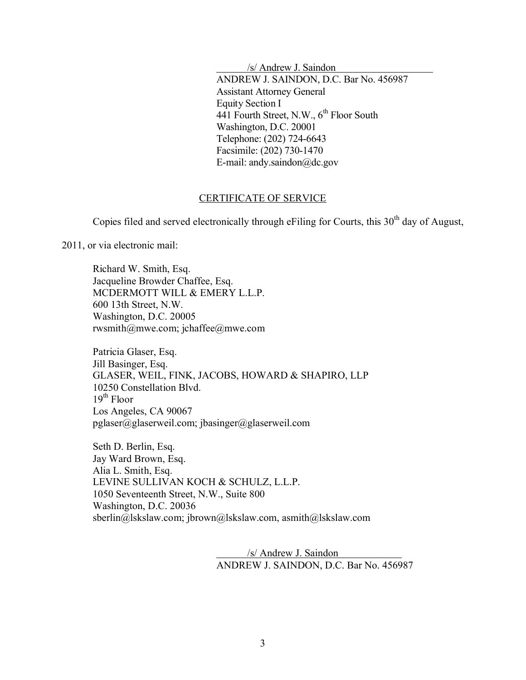/s/ Andrew J. Saindon

ANDREW J. SAINDON, D.C. Bar No. 456987 Assistant Attorney General Equity Section I 441 Fourth Street, N.W.,  $6^{th}$  Floor South Washington, D.C. 20001 Telephone: (202) 724-6643 Facsimile: (202) 730-1470 E-mail: andy.saindon@dc.gov

## CERTIFICATE OF SERVICE

Copies filed and served electronically through eFiling for Courts, this  $30<sup>th</sup>$  day of August,

2011, or via electronic mail:

Richard W. Smith, Esq. Jacqueline Browder Chaffee, Esq. MCDERMOTT WILL & EMERY L.L.P. 600 13th Street, N.W. Washington, D.C. 20005 rwsmith@mwe.com; jchaffee@mwe.com

Patricia Glaser, Esq. Jill Basinger, Esq. GLASER, WEIL, FINK, JACOBS, HOWARD & SHAPIRO, LLP 10250 Constellation Blvd.  $19^{th}$  Floor Los Angeles, CA 90067 pglaser@glaserweil.com; jbasinger@glaserweil.com

Seth D. Berlin, Esq. Jay Ward Brown, Esq. Alia L. Smith, Esq. LEVINE SULLIVAN KOCH & SCHULZ, L.L.P. 1050 Seventeenth Street, N.W., Suite 800 Washington, D.C. 20036 sberlin@lskslaw.com; jbrown@lskslaw.com, asmith@lskslaw.com

> /s/ Andrew J. Saindon ANDREW J. SAINDON, D.C. Bar No. 456987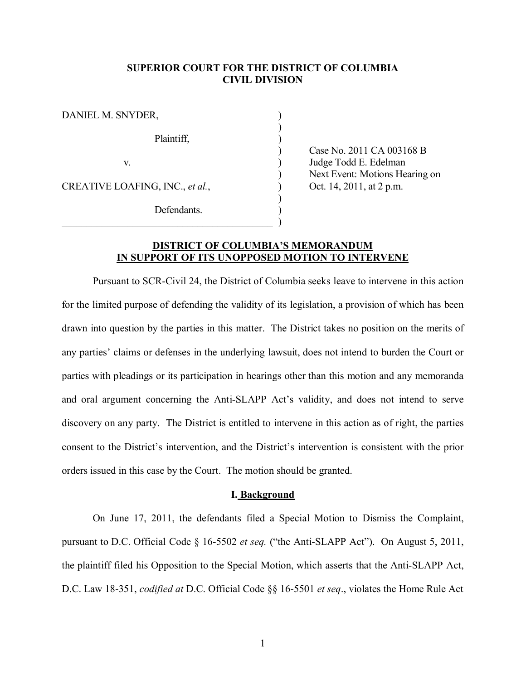#### **SUPERIOR COURT FOR THE DISTRICT OF COLUMBIA CIVIL DIVISION**

| DANIEL M. SNYDER,               |  |
|---------------------------------|--|
| Plaintiff,                      |  |
| V.                              |  |
| CREATIVE LOAFING, INC., et al., |  |
| Defendants.                     |  |

) Case No. 2011 CA 003168 B Judge Todd E. Edelman ) Next Event: Motions Hearing on Oct. 14, 2011, at 2 p.m.

## **DISTRICT OF COLUMBIA'S MEMORANDUM IN SUPPORT OF ITS UNOPPOSED MOTION TO INTERVENE**

Pursuant to SCR-Civil 24, the District of Columbia seeks leave to intervene in this action for the limited purpose of defending the validity of its legislation, a provision of which has been drawn into question by the parties in this matter. The District takes no position on the merits of any parties' claims or defenses in the underlying lawsuit, does not intend to burden the Court or parties with pleadings or its participation in hearings other than this motion and any memoranda and oral argument concerning the Anti-SLAPP Act's validity, and does not intend to serve discovery on any party. The District is entitled to intervene in this action as of right, the parties consent to the District's intervention, and the District's intervention is consistent with the prior orders issued in this case by the Court. The motion should be granted.

#### **I. Background**

On June 17, 2011, the defendants filed a Special Motion to Dismiss the Complaint, pursuant to D.C. Official Code § 16-5502 *et seq.* ("the Anti-SLAPP Act"). On August 5, 2011, the plaintiff filed his Opposition to the Special Motion, which asserts that the Anti-SLAPP Act, D.C. Law 18-351, *codified at* D.C. Official Code §§ 16-5501 *et seq*., violates the Home Rule Act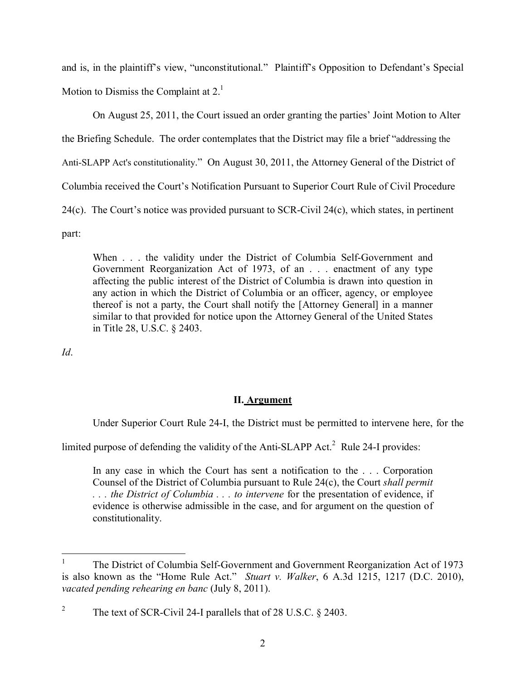and is, in the plaintiff's view, "unconstitutional." Plaintiff's Opposition to Defendant's Special Motion to Dismiss the Complaint at 2.<sup>[1](#page-4-0)</sup>

On August 25, 2011, the Court issued an order granting the parties' Joint Motion to Alter the Briefing Schedule. The order contemplates that the District may file a brief "addressing the Anti-SLAPP Act's constitutionality." On August 30, 2011, the Attorney General of the District of Columbia received the Court's Notification Pursuant to Superior Court Rule of Civil Procedure 24(c). The Court's notice was provided pursuant to SCR-Civil 24(c), which states, in pertinent

part:

When . . . the validity under the District of Columbia Self-Government and Government Reorganization Act of 1973, of an . . . enactment of any type affecting the public interest of the District of Columbia is drawn into question in any action in which the District of Columbia or an officer, agency, or employee thereof is not a party, the Court shall notify the [Attorney General] in a manner similar to that provided for notice upon the Attorney General of the United States in Title 28, U.S.C. § 2403.

*Id*.

# **II. Argument**

Under Superior Court Rule 24-I, the District must be permitted to intervene here, for the

limited purpose of defending the validity of the Anti-SLAPP Act. $<sup>2</sup>$  [R](#page-4-1)ule 24-I provides:</sup>

In any case in which the Court has sent a notification to the . . . Corporation Counsel of the District of Columbia pursuant to Rule 24(c), the Court *shall permit . . . the District of Columbia . . . to intervene* for the presentation of evidence, if evidence is otherwise admissible in the case, and for argument on the question of constitutionality.

<span id="page-4-0"></span> $\frac{1}{1}$ The District of Columbia Self-Government and Government Reorganization Act of 1973 is also known as the "Home Rule Act." *Stuart v. Walker*, 6 A.3d 1215, 1217 (D.C. 2010), *vacated pending rehearing en banc* (July 8, 2011).

<span id="page-4-1"></span><sup>2</sup> The text of SCR-Civil 24-I parallels that of 28 U.S.C. § 2403.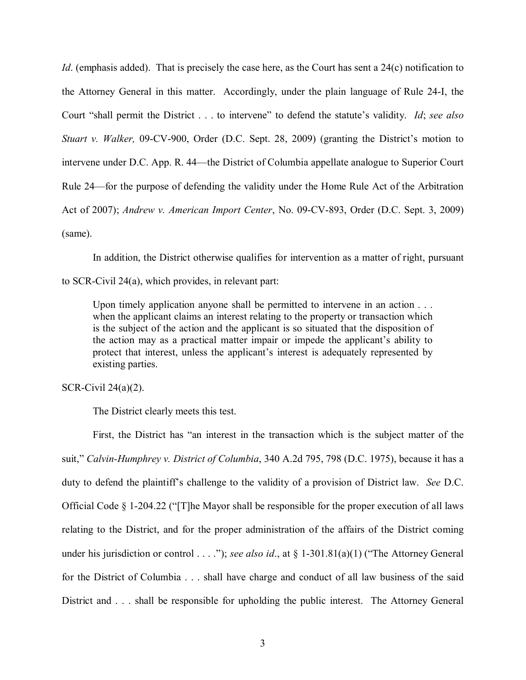*Id.* (emphasis added). That is precisely the case here, as the Court has sent a 24(c) notification to the Attorney General in this matter. Accordingly, under the plain language of Rule 24-I, the Court "shall permit the District . . . to intervene" to defend the statute's validity. *Id*; *see also Stuart v. Walker,* 09-CV-900, Order (D.C. Sept. 28, 2009) (granting the District's motion to intervene under D.C. App. R. 44—the District of Columbia appellate analogue to Superior Court Rule 24—for the purpose of defending the validity under the Home Rule Act of the Arbitration Act of 2007); *Andrew v. American Import Center*, No. 09-CV-893, Order (D.C. Sept. 3, 2009) (same).

In addition, the District otherwise qualifies for intervention as a matter of right, pursuant

to SCR-Civil 24(a), which provides, in relevant part:

Upon timely application anyone shall be permitted to intervene in an action  $\ldots$ . when the applicant claims an interest relating to the property or transaction which is the subject of the action and the applicant is so situated that the disposition of the action may as a practical matter impair or impede the applicant's ability to protect that interest, unless the applicant's interest is adequately represented by existing parties.

## SCR-Civil 24(a)(2).

The District clearly meets this test.

First, the District has "an interest in the transaction which is the subject matter of the suit," *Calvin-Humphrey v. District of Columbia*, 340 A.2d 795, 798 (D.C. 1975), because it has a duty to defend the plaintiff's challenge to the validity of a provision of District law. *See* D.C. Official Code  $\S$  1-204.22 ("The Mayor shall be responsible for the proper execution of all laws relating to the District, and for the proper administration of the affairs of the District coming under his jurisdiction or control . . . ."); *see also id.*, at § 1-301.81(a)(1) ("The Attorney General for the District of Columbia . . . shall have charge and conduct of all law business of the said District and . . . shall be responsible for upholding the public interest. The Attorney General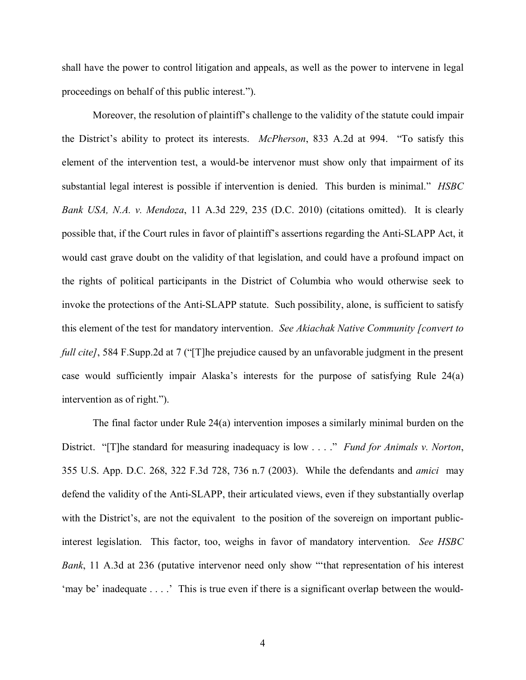shall have the power to control litigation and appeals, as well as the power to intervene in legal proceedings on behalf of this public interest.").

Moreover, the resolution of plaintiff's challenge to the validity of the statute could impair the District's ability to protect its interests. *McPherson*, 833 A.2d at 994. "To satisfy this element of the intervention test, a would-be intervenor must show only that impairment of its substantial legal interest is possible if intervention is denied. This burden is minimal." *HSBC Bank USA, N.A. v. Mendoza*, 11 A.3d 229, 235 (D.C. 2010) (citations omitted). It is clearly possible that, if the Court rules in favor of plaintiff's assertions regarding the Anti-SLAPP Act, it would cast grave doubt on the validity of that legislation, and could have a profound impact on the rights of political participants in the District of Columbia who would otherwise seek to invoke the protections of the Anti-SLAPP statute. Such possibility, alone, is sufficient to satisfy this element of the test for mandatory intervention. *See Akiachak Native Community [convert to full cite]*, 584 F.Supp.2d at 7 ("[T]he prejudice caused by an unfavorable judgment in the present case would sufficiently impair Alaska's interests for the purpose of satisfying Rule 24(a) intervention as of right.").

The final factor under Rule 24(a) intervention imposes a similarly minimal burden on the District. "[T]he standard for measuring inadequacy is low . . . ." *Fund for Animals v. Norton*, 355 U.S. App. D.C. 268, 322 F.3d 728, 736 n.7 (2003). While the defendants and *amici* may defend the validity of the Anti-SLAPP, their articulated views, even if they substantially overlap with the District's, are not the equivalent to the position of the sovereign on important publicinterest legislation. This factor, too, weighs in favor of mandatory intervention. *See HSBC Bank*, 11 A.3d at 236 (putative intervenor need only show "'that representation of his interest 'may be' inadequate . . . .' This is true even if there is a significant overlap between the would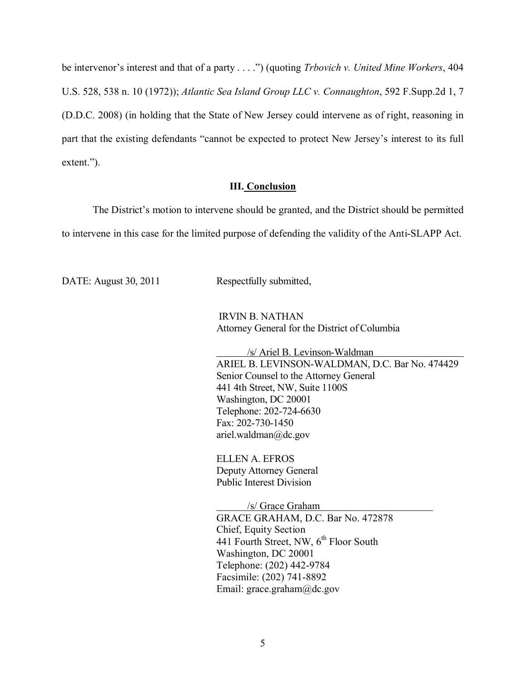be intervenor's interest and that of a party . . . .") (quoting *Trbovich v. United Mine Workers*, 404 U.S. 528, 538 n. 10 (1972)); *Atlantic Sea Island Group LLC v. Connaughton*, 592 F.Supp.2d 1, 7 (D.D.C. 2008) (in holding that the State of New Jersey could intervene as of right, reasoning in part that the existing defendants "cannot be expected to protect New Jersey's interest to its full extent.").

## **III. Conclusion**

The District's motion to intervene should be granted, and the District should be permitted to intervene in this case for the limited purpose of defending the validity of the Anti-SLAPP Act.

DATE: August 30, 2011 Respectfully submitted,

IRVIN B. NATHAN Attorney General for the District of Columbia

/s/ Ariel B. Levinson-Waldman ARIEL B. LEVINSON-WALDMAN, D.C. Bar No. 474429 Senior Counsel to the Attorney General 441 4th Street, NW, Suite 1100S Washington, DC 20001 Telephone: 202-724-6630 Fax: 202-730-1450 ariel.waldman@dc.gov

ELLEN A. EFROS Deputy Attorney General Public Interest Division

/s/ Grace Graham GRACE GRAHAM, D.C. Bar No. 472878 Chief, Equity Section 441 Fourth Street, NW,  $6<sup>th</sup>$  Floor South Washington, DC 20001 Telephone: (202) 442-9784 Facsimile: (202) 741-8892 Email: grace.graham@dc.gov